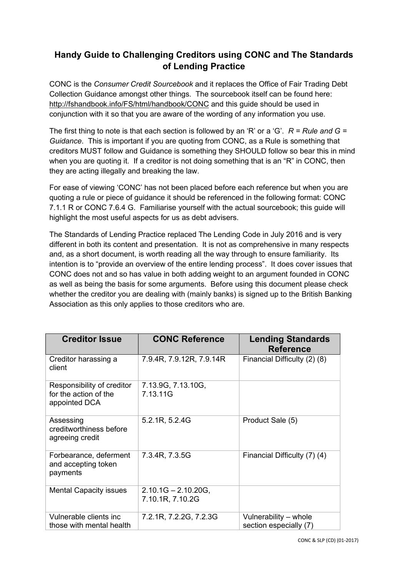## Handy Guide to Challenging Creditors using CONC and The Standards of Lending Practice

CONC is the Consumer Credit Sourcebook and it replaces the Office of Fair Trading Debt Collection Guidance amongst other things. The sourcebook itself can be found here: http://fshandbook.info/FS/html/handbook/CONC and this guide should be used in conjunction with it so that you are aware of the wording of any information you use.

The first thing to note is that each section is followed by an 'R' or a 'G'.  $R = Rule$  and  $G =$ Guidance. This is important if you are quoting from CONC, as a Rule is something that creditors MUST follow and Guidance is something they SHOULD follow so bear this in mind when you are quoting it. If a creditor is not doing something that is an "R" in CONC, then they are acting illegally and breaking the law.

For ease of viewing 'CONC' has not been placed before each reference but when you are quoting a rule or piece of guidance it should be referenced in the following format: CONC 7.1.1 R or CONC 7.6.4 G. Familiarise yourself with the actual sourcebook; this guide will highlight the most useful aspects for us as debt advisers.

The Standards of Lending Practice replaced The Lending Code in July 2016 and is very different in both its content and presentation. It is not as comprehensive in many respects and, as a short document, is worth reading all the way through to ensure familiarity. Its intention is to "provide an overview of the entire lending process". It does cover issues that CONC does not and so has value in both adding weight to an argument founded in CONC as well as being the basis for some arguments. Before using this document please check whether the creditor you are dealing with (mainly banks) is signed up to the British Banking Association as this only applies to those creditors who are.

| <b>Creditor Issue</b>                                                | <b>CONC Reference</b>                     | <b>Lending Standards</b><br><b>Reference</b>    |
|----------------------------------------------------------------------|-------------------------------------------|-------------------------------------------------|
| Creditor harassing a<br>client                                       | 7.9.4R, 7.9.12R, 7.9.14R                  | Financial Difficulty (2) (8)                    |
| Responsibility of creditor<br>for the action of the<br>appointed DCA | 7.13.9G, 7.13.10G,<br>7.13.11G            |                                                 |
| Assessing<br>creditworthiness before<br>agreeing credit              | 5.2.1R, 5.2.4G                            | Product Sale (5)                                |
| Forbearance, deferment<br>and accepting token<br>payments            | 7.3.4R, 7.3.5G                            | Financial Difficulty (7) (4)                    |
| <b>Mental Capacity issues</b>                                        | $2.10.1G - 2.10.20G,$<br>7.10.1R, 7.10.2G |                                                 |
| Vulnerable clients inc<br>those with mental health                   | 7.2.1R, 7.2.2G, 7.2.3G                    | Vulnerability – whole<br>section especially (7) |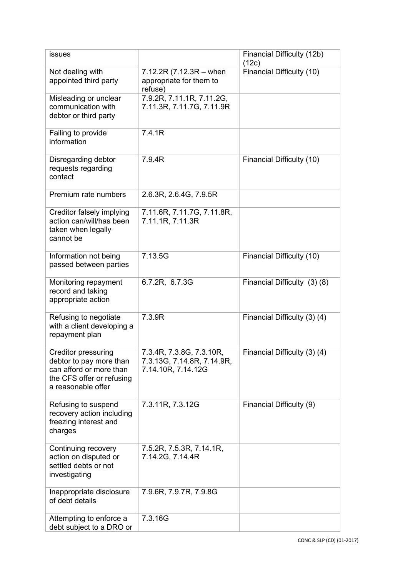| issues                                                                                                                              |                                                                              | Financial Difficulty (12b)<br>(12c) |
|-------------------------------------------------------------------------------------------------------------------------------------|------------------------------------------------------------------------------|-------------------------------------|
| Not dealing with<br>appointed third party                                                                                           | $7.12.2R(7.12.3R - when$<br>appropriate for them to<br>refuse)               | Financial Difficulty (10)           |
| Misleading or unclear<br>communication with<br>debtor or third party                                                                | 7.9.2R, 7.11.1R, 7.11.2G,<br>7.11.3R, 7.11.7G, 7.11.9R                       |                                     |
| Failing to provide<br>information                                                                                                   | 7.4.1R                                                                       |                                     |
| Disregarding debtor<br>requests regarding<br>contact                                                                                | 7.9.4R                                                                       | Financial Difficulty (10)           |
| Premium rate numbers                                                                                                                | 2.6.3R, 2.6.4G, 7.9.5R                                                       |                                     |
| Creditor falsely implying<br>action can/will/has been<br>taken when legally<br>cannot be                                            | 7.11.6R, 7.11.7G, 7.11.8R,<br>7.11.1R, 7.11.3R                               |                                     |
| Information not being<br>passed between parties                                                                                     | 7.13.5G                                                                      | Financial Difficulty (10)           |
| Monitoring repayment<br>record and taking<br>appropriate action                                                                     | 6.7.2R, 6.7.3G                                                               | Financial Difficulty (3) (8)        |
| Refusing to negotiate<br>with a client developing a<br>repayment plan                                                               | 7.3.9R                                                                       | Financial Difficulty (3) (4)        |
| <b>Creditor pressuring</b><br>debtor to pay more than<br>can afford or more than<br>the CFS offer or refusing<br>a reasonable offer | 7.3.4R, 7.3.8G, 7.3.10R,<br>7.3.13G, 7.14.8R, 7.14.9R,<br>7.14.10R, 7.14.12G | Financial Difficulty (3) (4)        |
| Refusing to suspend<br>recovery action including<br>freezing interest and<br>charges                                                | 7.3.11R, 7.3.12G                                                             | Financial Difficulty (9)            |
| Continuing recovery<br>action on disputed or<br>settled debts or not<br>investigating                                               | 7.5.2R, 7.5.3R, 7.14.1R,<br>7.14.2G, 7.14.4R                                 |                                     |
| Inappropriate disclosure<br>of debt details                                                                                         | 7.9.6R, 7.9.7R, 7.9.8G                                                       |                                     |
| Attempting to enforce a<br>debt subject to a DRO or                                                                                 | 7.3.16G                                                                      |                                     |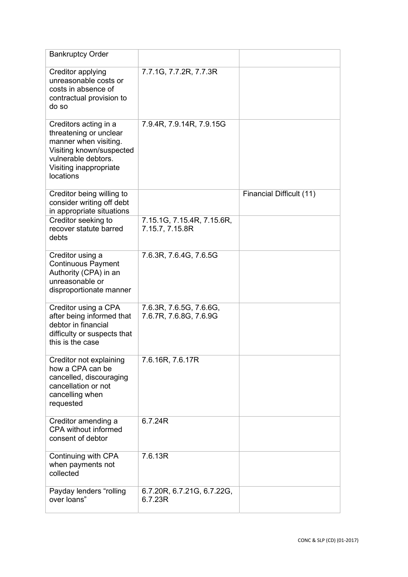| <b>Bankruptcy Order</b>                                                                                                                                            |                                                   |                          |
|--------------------------------------------------------------------------------------------------------------------------------------------------------------------|---------------------------------------------------|--------------------------|
| Creditor applying<br>unreasonable costs or<br>costs in absence of<br>contractual provision to<br>do so                                                             | 7.7.1G, 7.7.2R, 7.7.3R                            |                          |
| Creditors acting in a<br>threatening or unclear<br>manner when visiting.<br>Visiting known/suspected<br>vulnerable debtors.<br>Visiting inappropriate<br>locations | 7.9.4R, 7.9.14R, 7.9.15G                          |                          |
| Creditor being willing to<br>consider writing off debt<br>in appropriate situations                                                                                |                                                   | Financial Difficult (11) |
| Creditor seeking to<br>recover statute barred<br>debts                                                                                                             | 7.15.1G, 7.15.4R, 7.15.6R,<br>7.15.7, 7.15.8R     |                          |
| Creditor using a<br><b>Continuous Payment</b><br>Authority (CPA) in an<br>unreasonable or<br>disproportionate manner                                               | 7.6.3R, 7.6.4G, 7.6.5G                            |                          |
| Creditor using a CPA<br>after being informed that<br>debtor in financial<br>difficulty or suspects that<br>this is the case                                        | 7.6.3R, 7.6.5G, 7.6.6G,<br>7.6.7R, 7.6.8G, 7.6.9G |                          |
| Creditor not explaining<br>how a CPA can be<br>cancelled, discouraging<br>cancellation or not<br>cancelling when<br>requested                                      | 7.6.16R, 7.6.17R                                  |                          |
| Creditor amending a<br>CPA without informed<br>consent of debtor                                                                                                   | 6.7.24R                                           |                          |
| Continuing with CPA<br>when payments not<br>collected                                                                                                              | 7.6.13R                                           |                          |
| Payday lenders "rolling<br>over loans"                                                                                                                             | 6.7.20R, 6.7.21G, 6.7.22G,<br>6.7.23R             |                          |